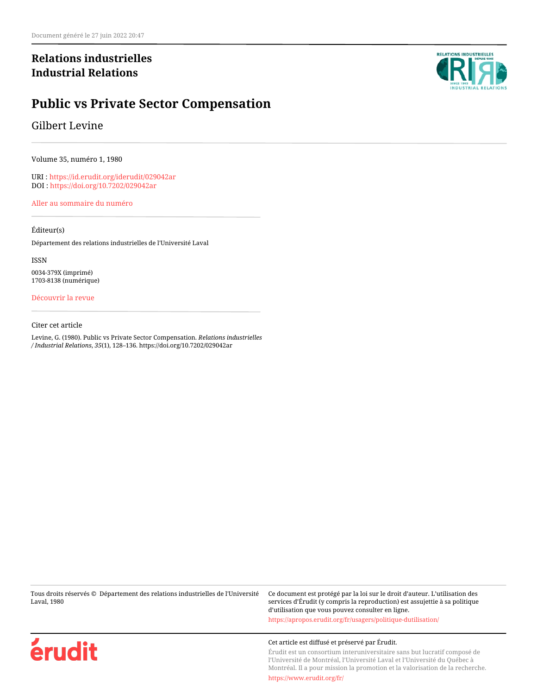# **Relations industrielles Industrial Relations**

# **Public vs Private Sector Compensation**

## Gilbert Levine

Volume 35, numéro 1, 1980

URI :<https://id.erudit.org/iderudit/029042ar> DOI :<https://doi.org/10.7202/029042ar>

[Aller au sommaire du numéro](https://www.erudit.org/fr/revues/ri/1980-v35-n1-ri2849/)

#### Éditeur(s)

Département des relations industrielles de l'Université Laval

ISSN

0034-379X (imprimé) 1703-8138 (numérique)

#### [Découvrir la revue](https://www.erudit.org/fr/revues/ri/)

#### Citer cet article

Levine, G. (1980). Public vs Private Sector Compensation. *Relations industrielles / Industrial Relations*, *35*(1), 128–136. https://doi.org/10.7202/029042ar

Tous droits réservés © Département des relations industrielles de l'Université Laval, 1980

Ce document est protégé par la loi sur le droit d'auteur. L'utilisation des services d'Érudit (y compris la reproduction) est assujettie à sa politique d'utilisation que vous pouvez consulter en ligne. <https://apropos.erudit.org/fr/usagers/politique-dutilisation/>

#### Cet article est diffusé et préservé par Érudit.

Érudit est un consortium interuniversitaire sans but lucratif composé de l'Université de Montréal, l'Université Laval et l'Université du Québec à Montréal. Il a pour mission la promotion et la valorisation de la recherche.

<https://www.erudit.org/fr/>



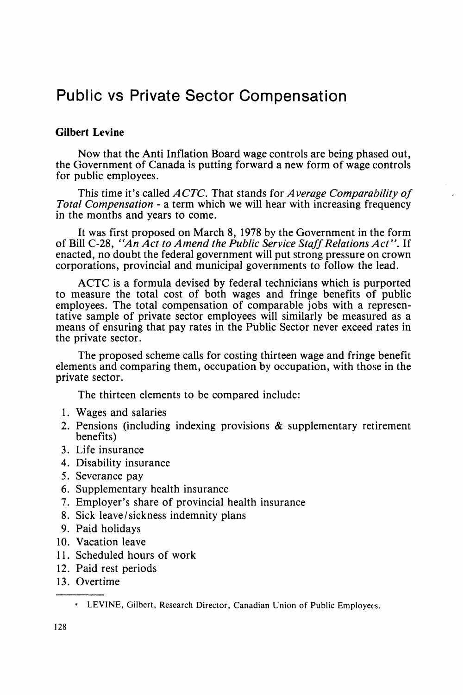## Public vs Private Sector Compensation

#### **Gilbert Levine**

Now that the Anti Inflation Board wage controls are being phased out, the Government of Canada is putting forward a new form of wage controls for public employees.

This time it's called *ACTC*. That stands for *Average Comparability of Total Compensation -* a term which we will hear with increasing frequency in the months and vears to come.

It was first proposed on March 8, 1978 by the Government in the form of Bill C-28, *"An Act to Amend the Public Service Staff Relations Act".* If enacted, no doubt the fédéral government will put strong pressure on crown corporations, provincial and municipal governments to follow the lead.

ACTC is a formula devised by fédéral technicians which is purported to measure the total cost of both wages and fringe benefits of public employees. The total compensation of comparable jobs with a representative sample of private sector employees will similarly be measured as a means of ensuring that pay rates in the Public Sector never exceed rates in the private sector.

The proposed scheme calls for costing thirteen wage and fringe benefit éléments and comparing them, occupation by occupation, with those in the private sector.

The thirteen elements to be compared include:

- 1. Wages and salaries
- 2. Pensions (including indexing provisions  $\&$  supplementary retirement benefits)
- 3. Life insurance
- 4. Disability insurance
- 5. Severance pay
- 6. Supplementary health insurance
- 7. Employer's share of provincial health insurance
- 8. Sick leave/sickness indemnity plans
- 9. Paid holidays
- 10. Vacation leave
- 11. Scheduled hours of work
- 12. Paid rest periods
- 13. Overtime

LEVINE, Gilbert, Research Director, Canadian Union of Public Employées.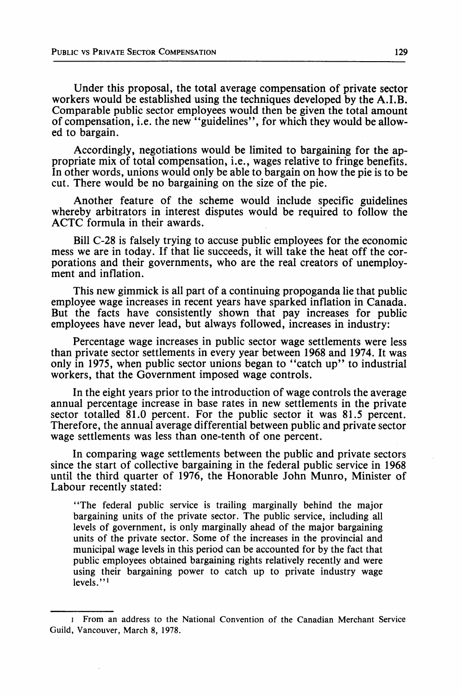Under this proposai, the total average compensation of private sector workers would be established using the techniques developed by the A.I.B. Comparable public sector employees would then be given the total amount of compensation, i.e. the new "guidelines", for which they would be allowed to bargain.

Accordingly, negotiations would be limited to bargaining for the appropriate mix of total compensation, i.e., wages relative to fringe benefits. In other words, unions would only be able to bargain on how the pie is to be eut. There would be no bargaining on the size of the pie.

Another feature of the scheme would include specific guidelines whereby arbitrators in interest disputes would be required to follow the ACTC formula in their awards.

Bill C-28 is falsely trying to accuse public employees for the economic mess we are in today. If that lie succeeds, it will take the heat off the corporations and their governments, who are the real creators of unemployment and inflation.

This new gimmick is ail part of a continuing propoganda lie that public employee wage increases in recent years have sparked inflation in Canada. But the facts have consistently shown that pay increases for public employees have never lead, but always followed, increases in industry:

Percentage wage increases in public sector wage settlements were less than private sector settlements in every year between 1968 and 1974. It was only in 1975, when public sector unions began to "catch up" to industrial workers, that the Government imposed wage controls.

In the eight years prior to the introduction of wage controls the average annual percentage increase in base rates in new settlements in the private sector totalled  $\overline{81.0}$  percent. For the public sector it was 81.5 percent. Therefore, the annual average differential between public and private sector wage settlements was less than one-tenth of one percent.

In comparing wage settlements between the public and private sectors since the start of collective bargaining in the federal public service in 1968 until the third quarter of 1976, the Honorable John Munro, Minister of Labour recently stated:

"The fédéral public service is trailing marginally behind the major bargaining units of the private sector. The public service, including ail levels of government, is only marginally ahead of the major bargaining units of the private sector. Some of the increases in the provincial and municipal wage levels in this period can be accounted for by the fact that public employées obtained bargaining rights relatively recently and were using their bargaining power to catch up to private industry wage levels."<sup>1</sup>

î From an address to the National Convention of the Canadian Merchant Service Guild, Vancouver, March 8, 1978.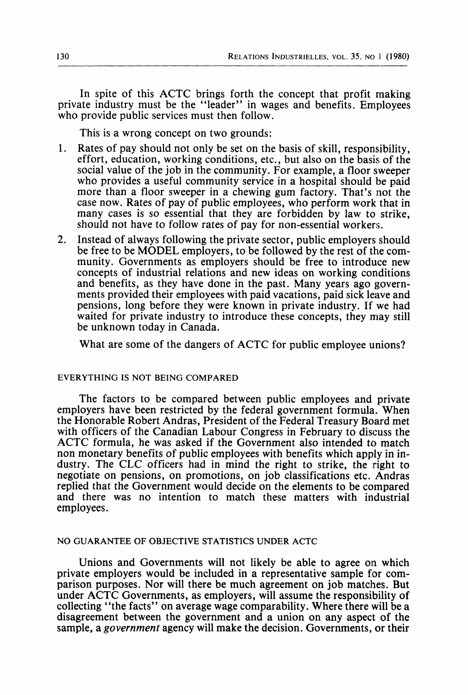In spite of this ACTC brings forth the concept that profit rnaking private industry must be the "leader" in wages and benefits. Employees who provide public services must then follow.

This is a wrong concept on two grounds:

- 1. Rates of pay should not only be set on the basis of skill, responsibility, effort, éducation, working conditions, etc., but also on the basis of the social value of the job in the community. For example, a floor sweeper who provides a useful community service in a hospital should be paid more than a floor sweeper in a chewing gum factory. That's not the case now. Rates of pay of public employees, who perform work that in many cases is so essential that they are forbidden by law to strike, should not hâve to follow rates of pay for non-essential workers.
- 2. Instead of always following the private sector, public employers should be free to be MODEL employers, to be followed by the rest of the community. Governments as employers should be free to introduce new concepts of industrial relations and new ideas on working conditions and benefits, as they have done in the past. Many years ago governments provided their employees with paid vacations, paid sick leave and pensions, long before they were known in private industry. If we had waited for private industry to introduce these concepts, they may still be unknown today in Canada.

What are some of the dangers of ACTC for public employee unions?

#### EVERYTHING IS NOT BEING COMPARED

The factors to be compared between public employees and private employers have been restricted by the federal government formula. When the Honorable Robert Andras, President of the Federal Treasury Board met with officers of the Canadian Labour Congress in February to discuss the ACTC formula, he was asked if the Government also intended to match non monetary benefits of public employees with benefits which apply in industry. The CLC officers had in mind the right to strike, the right to negotiate on pensions, on promotions, on job classifications etc. Andras replied that the Government would décide on the éléments to be compared and there was no intention to match thèse matters with industrial employees.

#### NO GUARANTEE OF OBJECTIVE STATISTICS UNDER ACTC

Unions and Governments will not likely be able to agree on which private employers would be included in a representative sample for comparison purposes. Nor will there be much agreement on job matches. But under ACTC Governments, as employers, will assume the responsibility of collecting "the facts" on average wage comparability. Where there will be a disagreement between the government and a union on any aspect of the sample, a *government* agency will make the decision. Governments, or their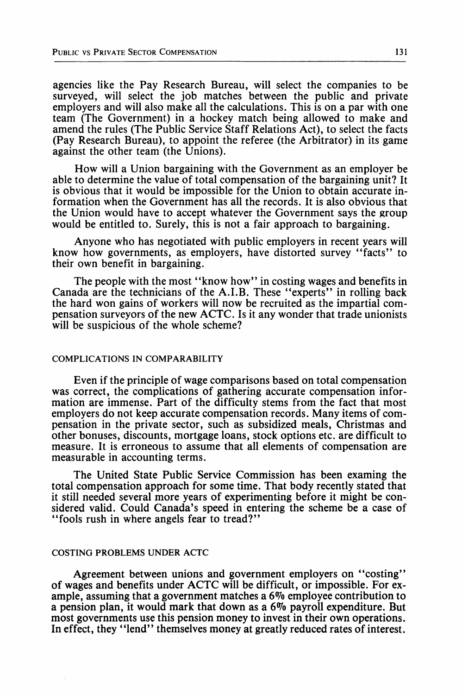**agencies like the Pay Research Bureau, will sélect the companies to be surveyed, will sélect the job matches between the public and private employers and will also make ail the calculations. This is on a par with one team (The Government) in a hockey match being allowed to make and amend the rules (The Public Service Staff Relations Act), to sélect the facts (Pay Research Bureau), to appoint the référée (the Arbitrator) in its game against the other team (the Unions).** 

**How will a Union bargaining with the Government as an employer be able to détermine the value of total compensation of the bargaining unit? It is obvious that it would be impossible for the Union to obtain accurate information when the Government has ail the records. It is also obvious that the Union would hâve to accept whatever the Government says the group would be entitled to. Surely, this is not a fair approach to bargaining.** 

Anyone who has negotiated with public employers in recent years will **know how governments, as employers, hâve distorted survey "facts" to their own benefit in bargaining.** 

**The people with the most "know how" in costing wages and benefits in**  Canada are the technicians of the A.I.B. These "experts" in rolling back **the hard won gains of workers will now be recruited as the impartial compensation surveyors of the new ACTC. Is it any wonder that trade unionists will be suspicious of the whole scheme?** 

#### COMPLICATIONS IN COMPARABILITY

**Even if the principle of wage comparisons based on total compensation was correct, the complications of gathering accurate compensation information are immense. Part of the difficulty stems from the fact that most employers do not keep accurate compensation records. Many items of compensation in the private sector, such as subsidized meals, Christmas and other bonuses, discounts, mortgage loans, stock options etc. are difficult to measure. It is erroneous to assume that ail éléments of compensation are measurable in accounting terms.** 

**The United State Public Service Commission has been examing the total compensation approach for some time. That body recently stated that it still needed several more years of experimenting before it might be considered valid. Could Canada's speed in entering the scheme be a case of "fools rush in where angels fear to tread?"** 

#### COSTING PROBLEMS UNDER ACTC

**Agreement between unions and government employers on "costing" of wages and benefits under ACTC will be difficult, or impossible. For example, assuming that a government matches a 6% employée contribution to a pension plan, it would mark that down as a 6% payroll expenditure. But**  most governments use this pension money to invest in their own operations. **In effect, they "lend" themselves money at greatly reduced rates of interest.**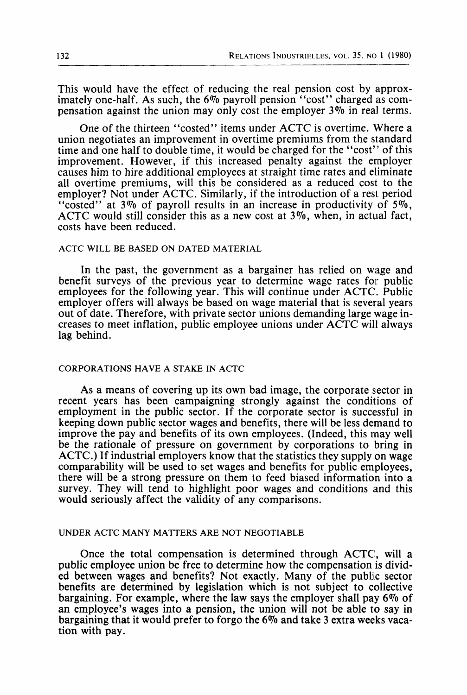This would hâve the effect of reducing the real pension cost by approximately one-half. As such, the *6°7o* payroll pension "cost" charged as compensation against the union may only cost the employer 3% in real terms.

One of the thirteen "costed" items under ACTC is overtime. Where a union negotiates an improvement in overtime premiums from the standard time and one half to double time, it would be charged for the "cost" of this improvement. However, if this increased penalty against the employer causes him to hire additional employees at straight time rates and eliminate ail overtime premiums, will this be considered as a reduced cost to the employer? Not under ACTC. Similarly, if the introduction of a rest period "costed" at  $3\%$  of payroll results in an increase in productivity of  $5\%$ , ACTC would still consider this as a new cost at  $3\%$ , when, in actual fact, costs hâve been reduced.

#### ACTC WILL BE BASED ON DATED MATERIAL

In the past, the government as a bargainer has relied on wage and benefit surveys of the previous year to détermine wage rates for public employees for the following year. This will continue under ACTC. Public employer offers will always be based on wage material that is several years out of date. Therefore, with private sector unions demanding large wage increases to meet inflation, public employee unions under ACTC will always lag behind.

#### CORPORATIONS HAVE A STAKE IN ACTC

As a means of covering up its own bad image, the corporate sector in recent years has been campaigning strongly against the conditions of employment in the public sector. If the corporate sector is successful in keeping down public sector wages and benefits, there will be less demand to improve the pay and benefits of its own employees. (Indeed, this may well be the rationale of pressure on government by corporations to bring in ACTC.) If industrial employers know that the statistics they supply on wage comparability will be used to set wages and benefits for public employées, there will be a strong pressure on them to feed biased information into a survey. They will tend to highlight poor wages and conditions and this would seriously affect the validity of any comparisons.

#### UNDER ACTC MANY MATTERS ARE NOT NEGOTIABLE

Once the total compensation is determined through ACTC, will a public employée union be free to détermine how the compensation is divided between wages and benefits? Not exactly. Many of the public sector benefits are determined by législation which is not subject to collective bargaining. For example, where the law says the employer shall pay 6% of an employee's wages into a pension, the union will not be able to say in bargaining that it would prefer to forgo the 6% and take 3 extra weeks vacation with pay.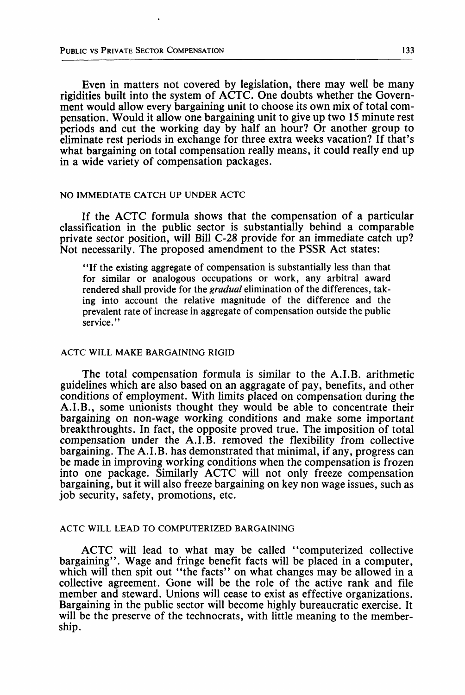**Even in matters not covered by législation, there may well be many rigidities built into the System of ACTC. One doubts whether the Government would allow every bargaining unit to choose its own mix of total compensation. Would it allow one bargaining unit to give up two 15 minute rest periods and eut the working day by half an hour? Or another group to eliminate rest periods in exchange for three extra weeks vacation? If that's what bargaining on total compensation really means, it could really end up in a wide variety of compensation packages.** 

#### NO IMMEDIATE CATCH UP UNDER ACTC

**If the ACTC formula shows that the compensation of a particular classification in the public sector is substantially behind a comparable private sector position, will Bill C-28 provide for an immédiate catch up? Not necessarily. The proposed amendment to the PSSR Act states:** 

**"If the existing aggregate of compensation is substantially less than that for similar or analogous occupations or work, any arbitral award rendered shall provide for the** *graduai* **élimination of the différences, taking into account the relative magnitude of the différence and the**  prevalent rate of increase in aggregate of compensation outside the public **service."** 

#### ACTC WILL MAKE BARGAINING RIGID

**The total compensation formula is similar to the A.I.B. arithmetic guidelines which are also based on an aggragate of pay, benefits, and other conditions of employment. With limits placed on compensation during the A.I.B., some unionists thought they would be able to concentrate their bargaining on non-wage working conditions and make some important breakthroughts. In fact, the opposite proved true. The imposition of total compensation under the A.I.B. removed the flexibility from collective bargaining. The A.I.B. has demonstrated that minimal, if any, progress can be made in improving working conditions when the compensation is frozen into one package. Similarly ACTC will not only freeze compensation bargaining, but it will also freeze bargaining on key non wage issues, such as job security, safety, promotions, etc.** 

#### ACTC WILL LEAD TO COMPUTERIZED BARGAINING

**ACTC will lead to what may be called "computerized collective bargaining". Wage and fringe benefit facts will be placed in a computer, which will then spit out "the facts" on what changes may be allowed in a collective agreement. Gone will be the rôle of the active rank and file member and steward. Unions will cease to exist as effective organizations. Bargaining in the public sector will become highly bureaucratie exercise. It**  will be the preserve of the technocrats, with little meaning to the member**ship.**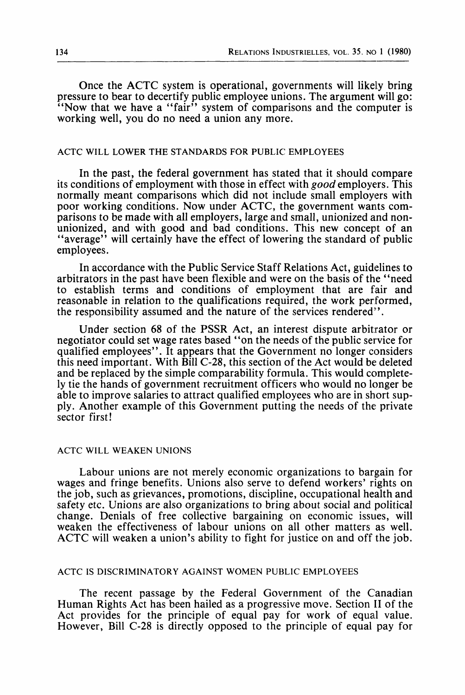Once the ACTC system is operational, governments will likely bring pressure to bear to decertify public employee unions. The argument will go: "Now that we have a "fair" system of comparisons and the computer is working well, you do no need a union any more.

#### ACTC WILL LOWER THE STANDARDS FOR PUBLIC EMPLOYEES

In the past, the fédéral government has stated that it should compare its conditions of employment with those in effect with good employers. This normally meant comparisons which did not include small employers with poor working conditions. Now under ACTC, the government wants comparisons to be made with ail employers, large and small, unionized and nonunionized, and with good and bad conditions. This new concept of an "average" will certainly have the effect of lowering the standard of public employées.

In accordance with the Public Service Staff Relations Act, guidelines to arbitrators in the past hâve been flexible and were on the basis of the "need to establish terms and conditions of employment that are fair and reasonable in relation to the qualifications required, the work performed, the responsibility assumed and the nature of the services rendered".

Under section 68 of the PSSR Act, an interest dispute arbitrator or negotiator could set wage rates based "on the needs of the public service for qualified employees". It appears that the Government no longer considers this need important. With Bill C-28, this section of the Act would be deleted and be replaced by the simple comparability formula. This would completely tie the hands of government recruitment officers who would no longer be able to improve salaries to attract qualified employees who are in short supply. Another example of this Government putting the needs of the private sector first!

#### ACTC WILL WEAKEN UNIONS

Labour unions are not merely economic organizations to bargain for wages and fringe benefits. Unions also serve to défend workers' rights on the job, such as grievances, promotions, discipline, occupational health and safety etc. Unions are also organizations to bring about social and political change. Denials of free collective bargaining on economic issues, will weaken the effectiveness of labour unions on ail other matters as well. ACTC will weaken a union's ability to fight for justice on and off the job.

#### ACTC IS DISCRIMINATORY AGAINST WOMEN PUBLIC EMPLOYEES

The recent passage by the Federal Government of the Canadian Human Rights Act has been hailed as a progressive move. Section II of the Act provides for the principle of equal pay for work of equal value. However, Bill C-28 is directly opposed to the principle of equal pay for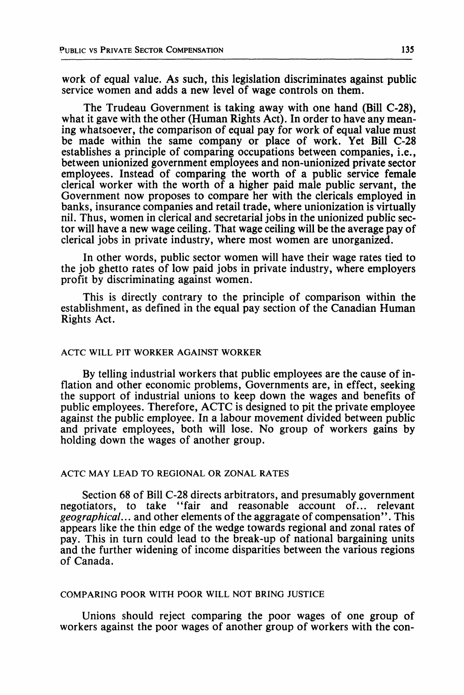**work of equal value. As such, this législation discriminâtes against public service women and adds a new level of wage controls on them.** 

**The Trudeau Government is taking away with one hand (Bill C-28),**  what it gave with the other (Human Rights Act). In order to have any mean**ing whatsoever, the comparison of equal pay for work of equal value must be made within the same company or place of work. Yet Bill C-28 establishes a principle of comparing occupations between companies, i.e., between unionized government employées and non-unionized private sector**  employees. Instead of comparing the worth of a public service female **clérical worker with the worth of a higher paid maie public servant, the Government now proposes to compare her with the clericals employed in banks, insurance companies and retail trade, where unionization is virtually nil. Thus, women in clérical and secretarial jobs in the unionized public sector will hâve a new wage ceiling. That wage ceiling will be the average pay of clérical jobs in private industry, where most women are unorganized.** 

**In other words, public sector women will hâve their wage rates tied to the job ghetto rates of low paid jobs in private industry, where employers profit by discriminating against women.** 

**This is directly contrary to the principle of comparison within the establishment, as defined in the equal pay section of the Canadian Human Rights Act.** 

#### ACTC WILL PIT WORKER AGAINST WORKER

By telling industrial workers that public employees are the cause of inflation and other economic problems, Governments are, in effect, seeking **the support of industrial unions to keep down the wages and benefits of**  public employees. Therefore, ACTC is designed to pit the private employee against the public employee. In a labour movement divided between public **and private employées, both will lose. No group of workers gains by holding down the wages of another group.** 

#### ACTC MAY LEAD TO REGIONAL OR ZONAL RATES

**Section 68 of Bill C-28 directs arbitrators, and presumably government negotiators, to take "fair and reasonable account of... relevant**  *geographical...* **and other éléments of the aggragate of compensation". This appears like the thin edge of the wedge towards régional and zonal rates of pay. This in turn could lead to the break-up of national bargaining units and the further widening of income disparities between the various régions of Canada.** 

#### COMPARING POOR WITH POOR WILL NOT BRING JUSTICE

**Unions should reject comparing the poor wages of one group of workers against the poor wages of another group of workers with the con-**